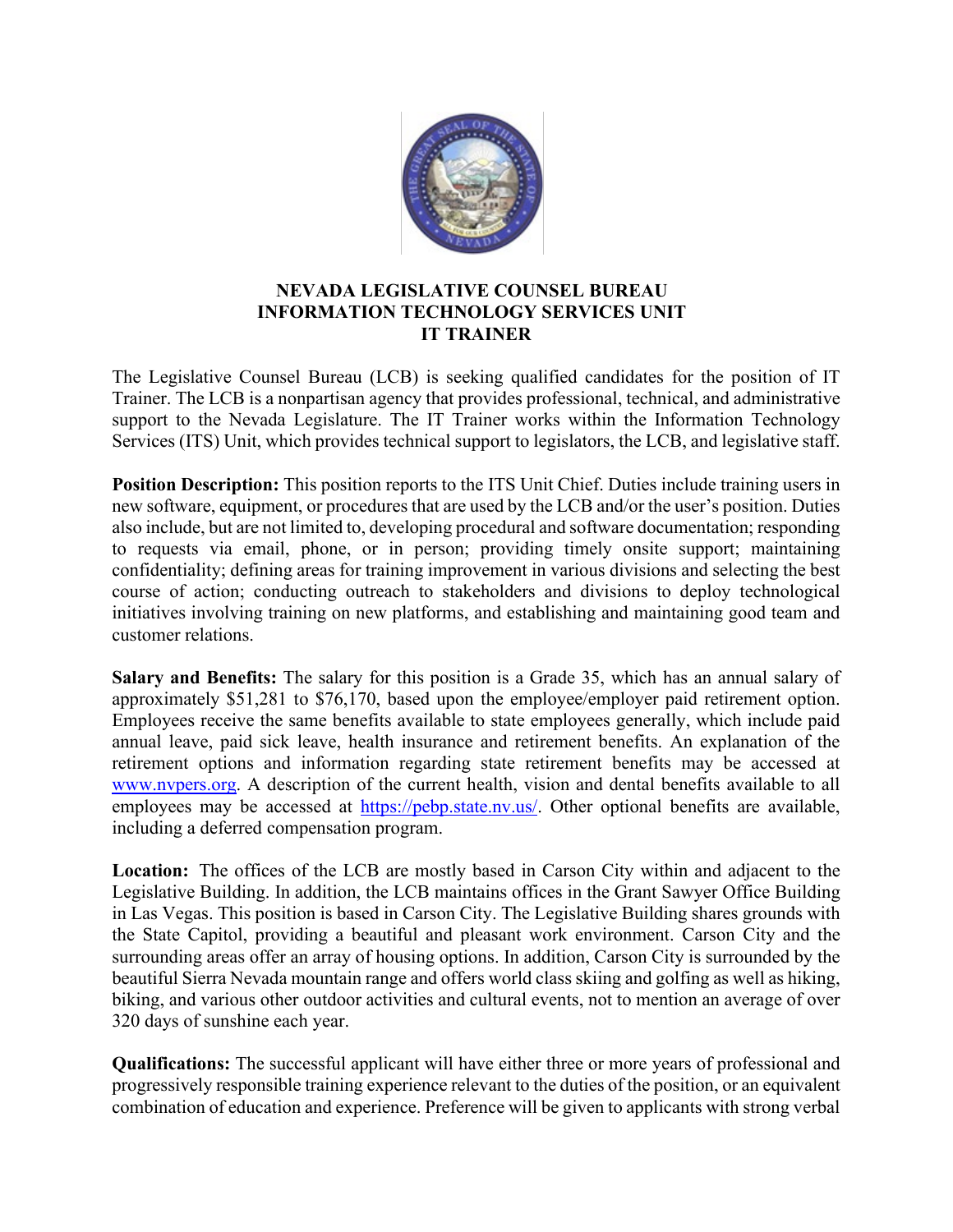

## **NEVADA LEGISLATIVE COUNSEL BUREAU INFORMATION TECHNOLOGY SERVICES UNIT IT TRAINER**

The Legislative Counsel Bureau (LCB) is seeking qualified candidates for the position of IT Trainer. The LCB is a nonpartisan agency that provides professional, technical, and administrative support to the Nevada Legislature. The IT Trainer works within the Information Technology Services (ITS) Unit, which provides technical support to legislators, the LCB, and legislative staff.

**Position Description:** This position reports to the ITS Unit Chief. Duties include training users in new software, equipment, or procedures that are used by the LCB and/or the user's position. Duties also include, but are not limited to, developing procedural and software documentation; responding to requests via email, phone, or in person; providing timely onsite support; maintaining confidentiality; defining areas for training improvement in various divisions and selecting the best course of action; conducting outreach to stakeholders and divisions to deploy technological initiatives involving training on new platforms, and establishing and maintaining good team and customer relations.

**Salary and Benefits:** The salary for this position is a Grade 35, which has an annual salary of approximately \$51,281 to \$76,170, based upon the employee/employer paid retirement option. Employees receive the same benefits available to state employees generally, which include paid annual leave, paid sick leave, health insurance and retirement benefits. An explanation of the retirement options and information regarding state retirement benefits may be accessed at [www.nvpers.org.](http://www.nvpers.org/) A description of the current health, vision and dental benefits available to all employees may be accessed at [https://pebp.state.nv.us/.](https://pebp.state.nv.us/) Other optional benefits are available, including a deferred compensation program.  

**Location:**  The offices of the LCB are mostly based in Carson City within and adjacent to the Legislative Building. In addition, the LCB maintains offices in the Grant Sawyer Office Building in Las Vegas. This position is based in Carson City. The Legislative Building shares grounds with the State Capitol, providing a beautiful and pleasant work environment. Carson City and the surrounding areas offer an array of housing options. In addition, Carson City is surrounded by the beautiful Sierra Nevada mountain range and offers world class skiing and golfing as well as hiking, biking, and various other outdoor activities and cultural events, not to mention an average of over 320 days of sunshine each year. 

**Qualifications:** The successful applicant will have either three or more years of professional and progressively responsible training experience relevant to the duties of the position, or an equivalent combination of education and experience. Preference will be given to applicants with strong verbal